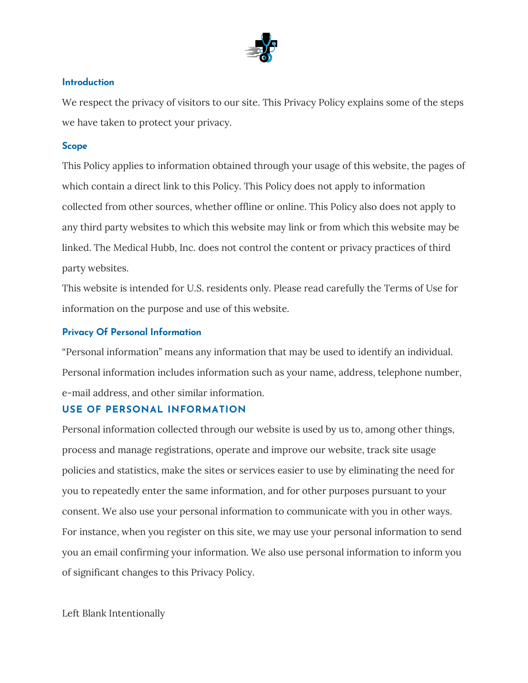

### **Introduction**

We respect the privacy of visitors to our site. This Privacy Policy explains some of the steps we have taken to protect your privacy.

#### **Scope**

This Policy applies to information obtained through your usage of this website, the pages of which contain a direct link to this Policy. This Policy does not apply to information collected from other sources, whether offline or online. This Policy also does not apply to any third party websites to which this website may link or from which this website may be linked. The Medical Hubb, Inc. does not control the content or privacy practices of third party websites.

This website is intended for U.S. residents only. Please read carefully the Terms of Use for information on the purpose and use of this website.

#### **Privacy Of Personal Information**

"Personal information" means any information that may be used to identify an individual. Personal information includes information such as your name, address, telephone number, e-mail address, and other similar information.

#### **USE OF PERSONAL INFORMATION**

Personal information collected through our website is used by us to, among other things, process and manage registrations, operate and improve our website, track site usage policies and statistics, make the sites or services easier to use by eliminating the need for you to repeatedly enter the same information, and for other purposes pursuant to your consent. We also use your personal information to communicate with you in other ways. For instance, when you register on this site, we may use your personal information to send you an email confirming your information. We also use personal information to inform you of significant changes to this Privacy Policy.

Left Blank Intentionally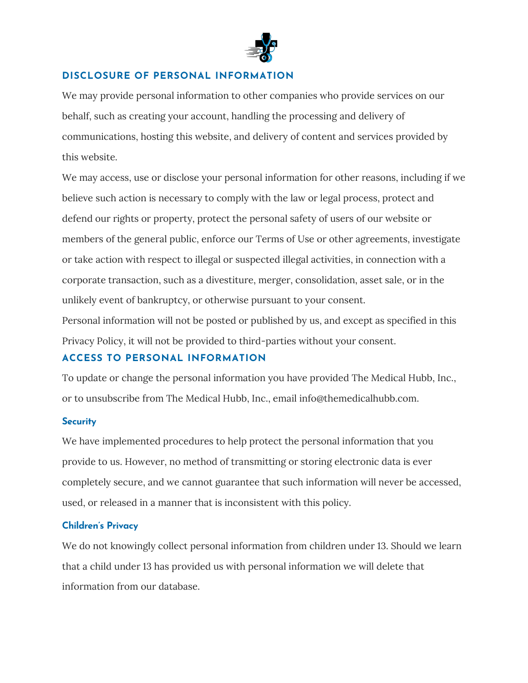

# **DISCLOSURE OF PERSONAL INFORMATION**

We may provide personal information to other companies who provide services on our behalf, such as creating your account, handling the processing and delivery of communications, hosting this website, and delivery of content and services provided by this website.

We may access, use or disclose your personal information for other reasons, including if we believe such action is necessary to comply with the law or legal process, protect and defend our rights or property, protect the personal safety of users of our website or members of the general public, enforce our Terms of Use or other agreements, investigate or take action with respect to illegal or suspected illegal activities, in connection with a corporate transaction, such as a divestiture, merger, consolidation, asset sale, or in the unlikely event of bankruptcy, or otherwise pursuant to your consent.

Personal information will not be posted or published by us, and except as specified in this Privacy Policy, it will not be provided to third-parties without your consent.

# **ACCESS TO PERSONAL INFORMATION**

To update or change the personal information you have provided The Medical Hubb, Inc., or to unsubscribe from The Medical Hubb, Inc., email info@themedicalhubb.com.

#### **Security**

We have implemented procedures to help protect the personal information that you provide to us. However, no method of transmitting or storing electronic data is ever completely secure, and we cannot guarantee that such information will never be accessed, used, or released in a manner that is inconsistent with this policy.

### **Children's Privacy**

We do not knowingly collect personal information from children under 13. Should we learn that a child under 13 has provided us with personal information we will delete that information from our database.